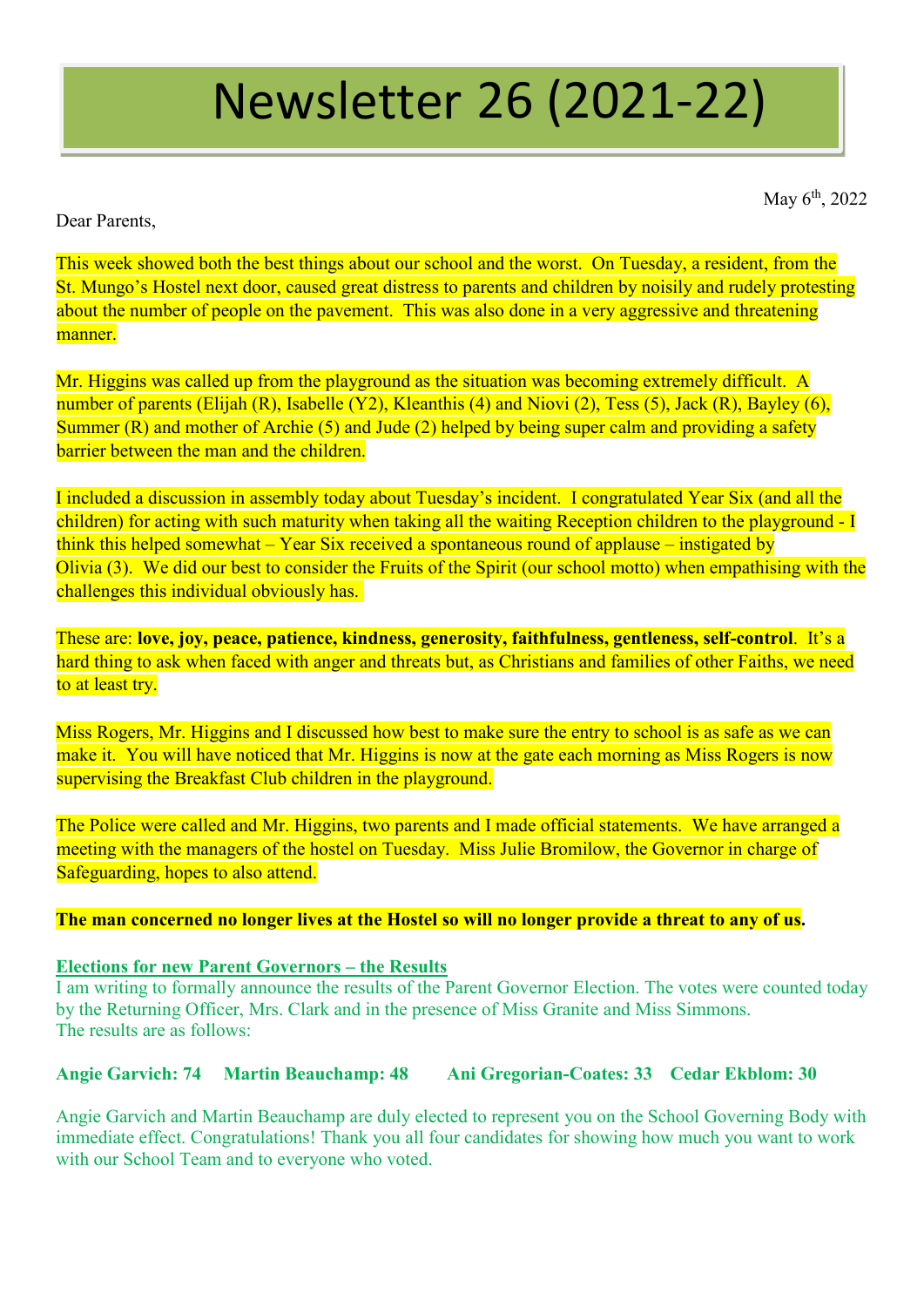# Newsletter 26 (2021-22)

May  $6^{\text{th}}$ , 2022

Dear Parents,

This week showed both the best things about our school and the worst. On Tuesday, a resident, from the St. Mungo's Hostel next door, caused great distress to parents and children by noisily and rudely protesting about the number of people on the pavement. This was also done in a very aggressive and threatening manner.

Mr. Higgins was called up from the playground as the situation was becoming extremely difficult. A number of parents (Elijah (R), Isabelle (Y2), Kleanthis (4) and Niovi (2), Tess (5), Jack (R), Bayley (6), Summer (R) and mother of Archie (5) and Jude (2) helped by being super calm and providing a safety barrier between the man and the children.

I included a discussion in assembly today about Tuesday's incident. I congratulated Year Six (and all the children) for acting with such maturity when taking all the waiting Reception children to the playground - I think this helped somewhat – Year Six received a spontaneous round of applause – instigated by Olivia (3). We did our best to consider the Fruits of the Spirit (our school motto) when empathising with the challenges this individual obviously has.

These are: **love, joy, peace, patience, kindness, generosity, faithfulness, gentleness, self-control**. It's a hard thing to ask when faced with anger and threats but, as Christians and families of other Faiths, we need to at least try.

Miss Rogers, Mr. Higgins and I discussed how best to make sure the entry to school is as safe as we can make it. You will have noticed that Mr. Higgins is now at the gate each morning as Miss Rogers is now supervising the Breakfast Club children in the playground.

The Police were called and Mr. Higgins, two parents and I made official statements. We have arranged a meeting with the managers of the hostel on Tuesday. Miss Julie Bromilow, the Governor in charge of Safeguarding, hopes to also attend.

#### **The man concerned no longer lives at the Hostel so will no longer provide a threat to any of us.**

#### **Elections for new Parent Governors – the Results**

I am writing to formally announce the results of the Parent Governor Election. The votes were counted today by the Returning Officer, Mrs. Clark and in the presence of Miss Granite and Miss Simmons. The results are as follows:

## **Angie Garvich: 74 Martin Beauchamp: 48 Ani Gregorian-Coates: 33 Cedar Ekblom: 30**

Angie Garvich and Martin Beauchamp are duly elected to represent you on the School Governing Body with immediate effect. Congratulations! Thank you all four candidates for showing how much you want to work with our School Team and to everyone who voted.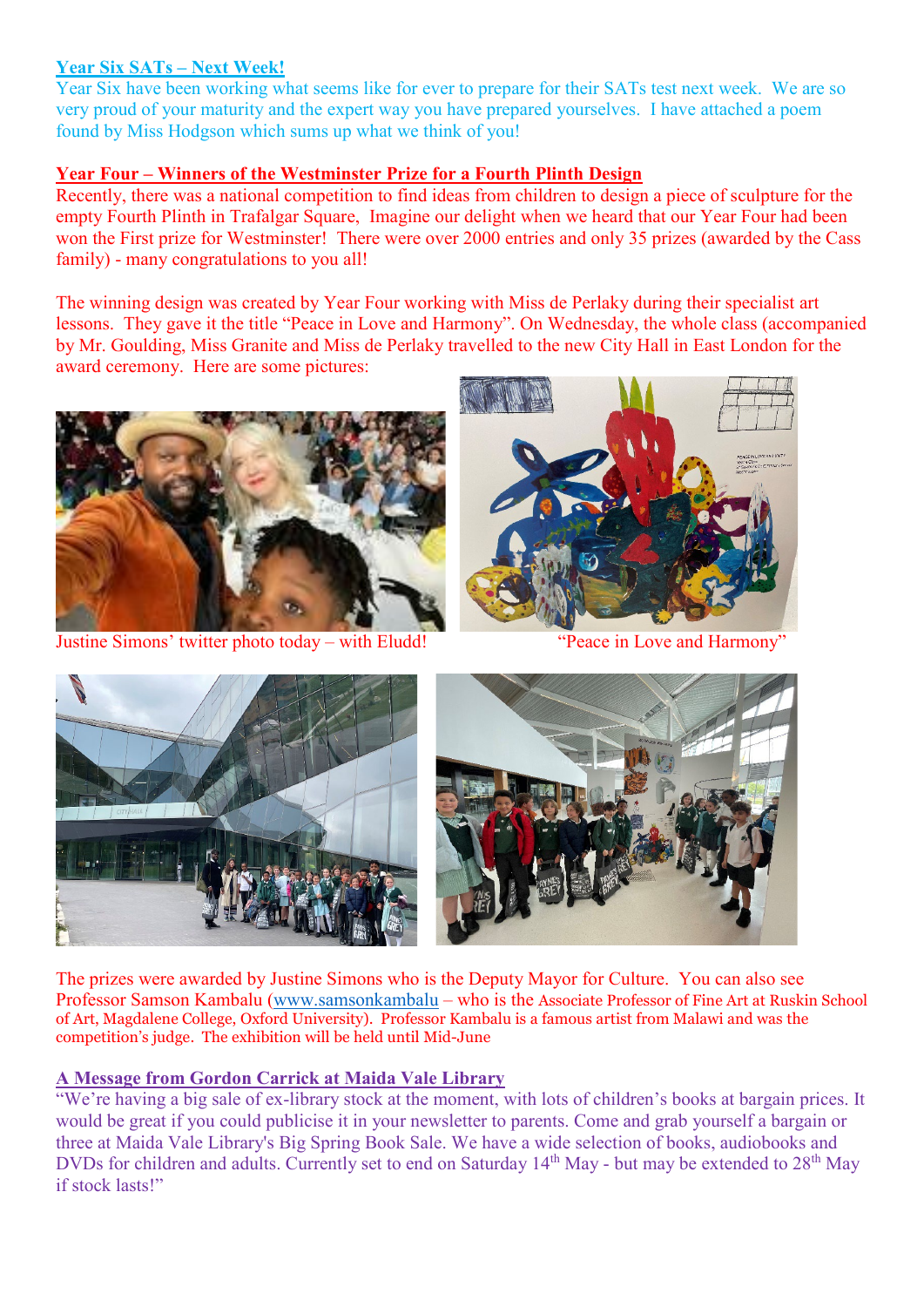## **Year Six SATs – Next Week!**

Year Six have been working what seems like for ever to prepare for their SATs test next week. We are so very proud of your maturity and the expert way you have prepared yourselves. I have attached a poem found by Miss Hodgson which sums up what we think of you!

## **Year Four – Winners of the Westminster Prize for a Fourth Plinth Design**

Recently, there was a national competition to find ideas from children to design a piece of sculpture for the empty Fourth Plinth in Trafalgar Square, Imagine our delight when we heard that our Year Four had been won the First prize for Westminster! There were over 2000 entries and only 35 prizes (awarded by the Cass family) - many congratulations to you all!

The winning design was created by Year Four working with Miss de Perlaky during their specialist art lessons. They gave it the title "Peace in Love and Harmony". On Wednesday, the whole class (accompanied by Mr. Goulding, Miss Granite and Miss de Perlaky travelled to the new City Hall in East London for the award ceremony. Here are some pictures:



Justine Simons' twitter photo today – with Eludd! "Peace in Love and Harmony"





The prizes were awarded by Justine Simons who is the Deputy Mayor for Culture. You can also see Professor Samson Kambalu [\(www.samsonkambalu](http://www.samsonkambalu/) – who is the Associate Professor of Fine Art at Ruskin School of Art, Magdalene College, Oxford University). Professor Kambalu is a famous artist from Malawi and was the competition's judge. The exhibition will be held until Mid-June

#### **A Message from Gordon Carrick at Maida Vale Library**

"We're having a big sale of ex-library stock at the moment, with lots of children's books at bargain prices. It would be great if you could publicise it in your newsletter to parents. Come and grab yourself a bargain or three at Maida Vale Library's Big Spring Book Sale. We have a wide selection of books, audiobooks and DVDs for children and adults. Currently set to end on Saturday 14<sup>th</sup> May - but may be extended to 28<sup>th</sup> May if stock lasts!"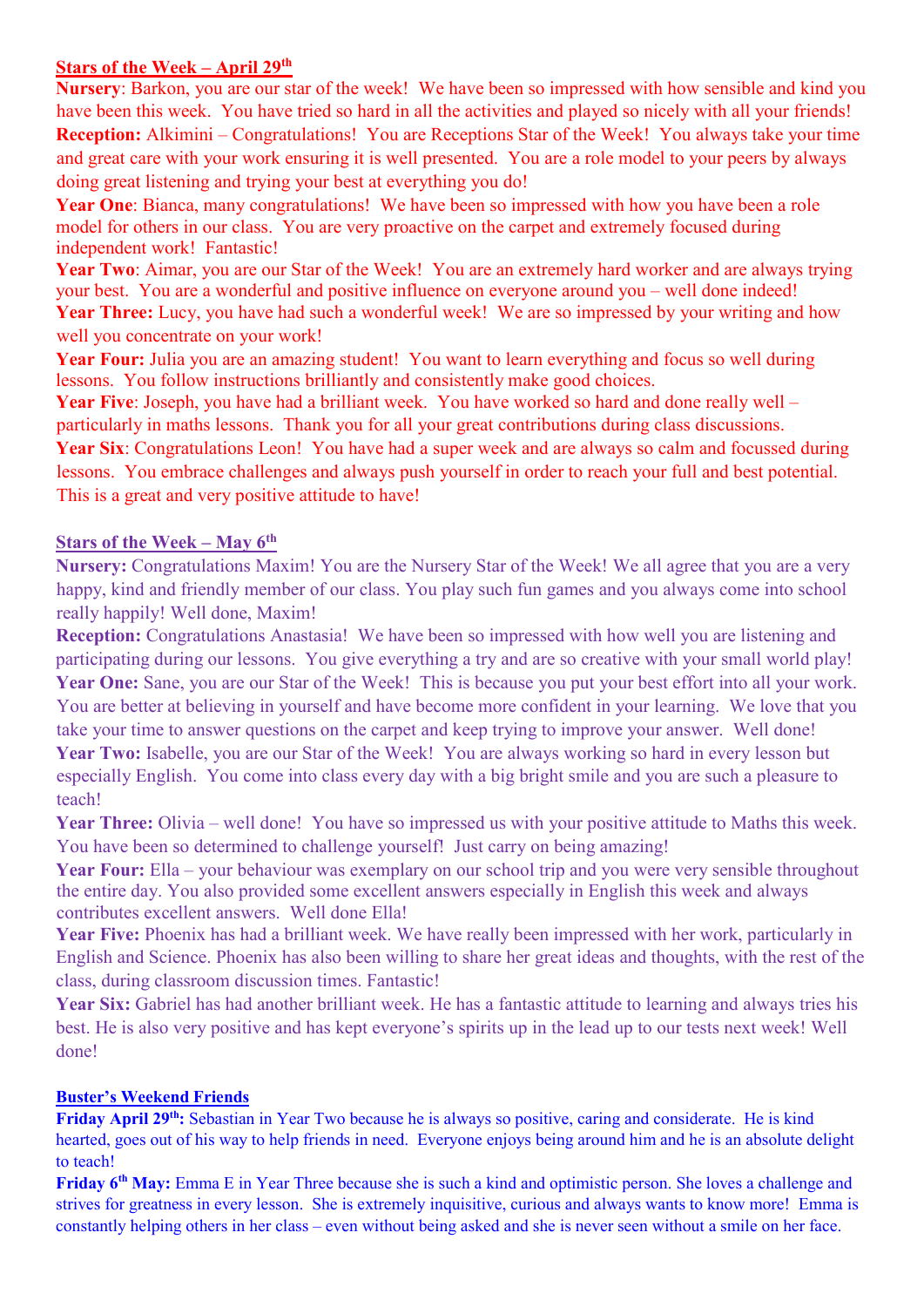#### **Stars of the Week – April 29th**

**Nursery**: Barkon, you are our star of the week! We have been so impressed with how sensible and kind you have been this week. You have tried so hard in all the activities and played so nicely with all your friends! **Reception:** Alkimini – Congratulations! You are Receptions Star of the Week! You always take your time and great care with your work ensuring it is well presented. You are a role model to your peers by always doing great listening and trying your best at everything you do!

**Year One**: Bianca, many congratulations! We have been so impressed with how you have been a role model for others in our class. You are very proactive on the carpet and extremely focused during independent work! Fantastic!

Year Two: Aimar, you are our Star of the Week! You are an extremely hard worker and are always trying your best. You are a wonderful and positive influence on everyone around you – well done indeed! **Year Three:** Lucy, you have had such a wonderful week! We are so impressed by your writing and how well you concentrate on your work!

Year Four: Julia you are an amazing student! You want to learn everything and focus so well during lessons. You follow instructions brilliantly and consistently make good choices.

**Year Five**: Joseph, you have had a brilliant week. You have worked so hard and done really well – particularly in maths lessons. Thank you for all your great contributions during class discussions.

Year Six: Congratulations Leon! You have had a super week and are always so calm and focussed during lessons. You embrace challenges and always push yourself in order to reach your full and best potential. This is a great and very positive attitude to have!

#### **Stars of the Week – May 6th**

**Nursery:** Congratulations Maxim! You are the Nursery Star of the Week! We all agree that you are a very happy, kind and friendly member of our class. You play such fun games and you always come into school really happily! Well done, Maxim!

**Reception:** Congratulations Anastasia! We have been so impressed with how well you are listening and participating during our lessons. You give everything a try and are so creative with your small world play! **Year One:** Sane, you are our Star of the Week! This is because you put your best effort into all your work. You are better at believing in yourself and have become more confident in your learning. We love that you take your time to answer questions on the carpet and keep trying to improve your answer. Well done! Year Two: Isabelle, you are our Star of the Week! You are always working so hard in every lesson but especially English. You come into class every day with a big bright smile and you are such a pleasure to teach!

**Year Three:** Olivia – well done! You have so impressed us with your positive attitude to Maths this week. You have been so determined to challenge yourself! Just carry on being amazing!

Year Four: Ella – your behaviour was exemplary on our school trip and you were very sensible throughout the entire day. You also provided some excellent answers especially in English this week and always contributes excellent answers. Well done Ella!

**Year Five:** Phoenix has had a brilliant week. We have really been impressed with her work, particularly in English and Science. Phoenix has also been willing to share her great ideas and thoughts, with the rest of the class, during classroom discussion times. Fantastic!

Year Six: Gabriel has had another brilliant week. He has a fantastic attitude to learning and always tries his best. He is also very positive and has kept everyone's spirits up in the lead up to our tests next week! Well done!

#### **Buster's Weekend Friends**

**Friday April 29th:** Sebastian in Year Two because he is always so positive, caring and considerate. He is kind hearted, goes out of his way to help friends in need. Everyone enjoys being around him and he is an absolute delight to teach!

**Friday 6th May:** Emma E in Year Three because she is such a kind and optimistic person. She loves a challenge and strives for greatness in every lesson. She is extremely inquisitive, curious and always wants to know more! Emma is constantly helping others in her class – even without being asked and she is never seen without a smile on her face.